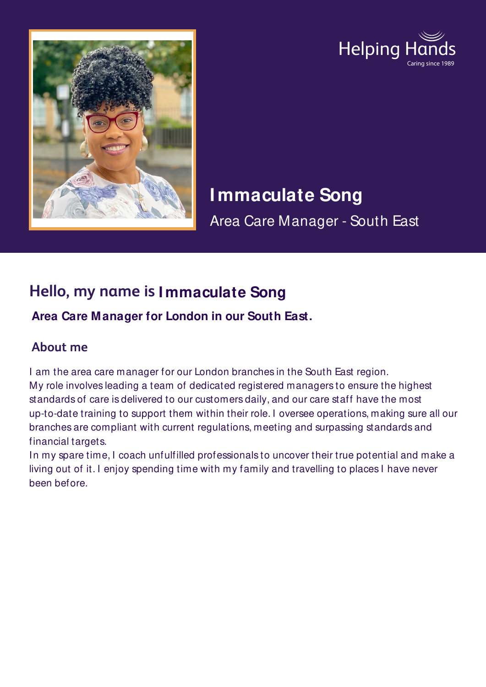



# **I mmaculate Song**

Area Care Manager - South East

# **Hello, my name is I mmaculate Song**

**Area Care Manager for London in our South East.**

## **About me**

I am the area care manager for our London branches in the South East region. My role involves leading a team of dedicated registered managers to ensure the highest standards of care is delivered to our customers daily, and our care staff have the most up-to-date training to support them within their role. I oversee operations, making sure all our branches are compliant with current regulations, meeting and surpassing standards and financial targets.

In my spare time, I coach unfulfilled professionals to uncover their true potential and make a living out of it. I enjoy spending time with my family and travelling to places I have never been before.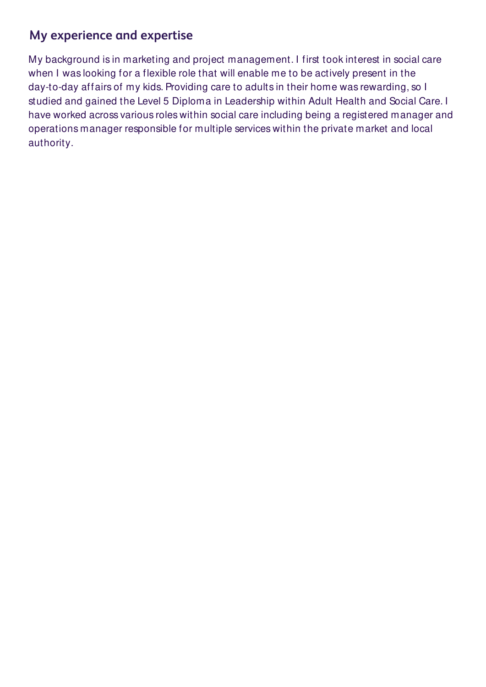### **My experience and expertise**

My background is in marketing and project management. I first took interest in social care when I was looking for a flexible role that will enable me to be actively present in the day-to-day affairs of my kids. Providing care to adults in their home was rewarding, so I studied and gained the Level 5 Diploma in Leadership within Adult Health and Social Care. I have worked across various roles within social care including being a registered manager and operations manager responsible for multiple services within the private market and local authority.